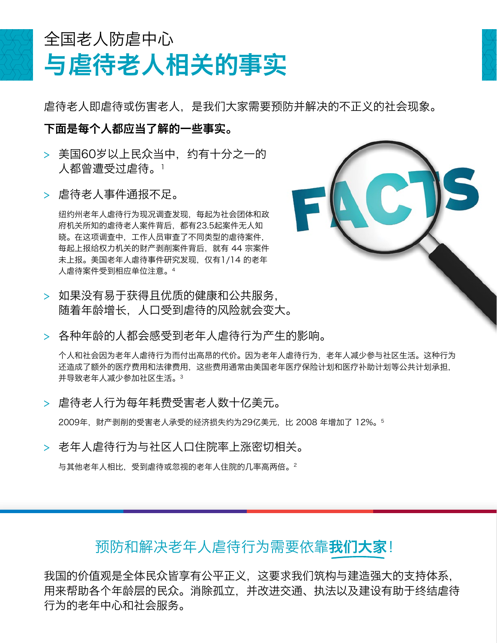## 与虐待老人相关的事实 全国老人防虐中心

虐待老人即虐待或伤害老人,是我们大家需要预防并解决的不正义的社会现象。

## 下面是每个人都应当了解的一些事实。

- > 美国60岁以上民众当中, 约有十分之一的 人都曾遭受过虐待。1
- > 虐待老人事件通报不足。

纽约州老年人虐待行为现况调查发现,每起为社会团体和政 府机关所知的虐待老人案件背后,都有23.5起案件无人知 晓。在这项调查中,工作人员审查了不同类型的虐待案件, 每起上报给权力机关的财产剥削案件背后,就有 44 宗案件 未上报。美国老年人虐待事件研究发现,仅有1/14 的老年 人虐待案件受到相应单位注意。4

- > 如果没有易干获得且优质的健康和公共服务. 随着年龄增长,人口受到虐待的风险就会变大。
- > 各种年龄的人都会感受到老年人虐待行为产生的影响。

个人和社会因为老年人虐待行为而付出高昂的代价。因为老年人虐待行为,老年人减少参与社区生活。这种行为 还造成了额外的医疗费用和法律费用,这些费用通常由美国老年医疗保险计划和医疗补助计划等公共计划承担, 并导致老年人减少参加社区生活。3

> 虐待老人行为每年耗费受害老人数十亿美元。

2009年,财产剥削的受害老人承受的经济损失约为29亿美元,比 2008 年增加了 12%。5

> 老年人虐待行为与社区人口住院率上涨密切相关。

与其他老年人相比,受到虐待或忽视的老年人住院的几率高两倍。2



## 预防和解决老年人虐待行为需要依靠**我们大家**!

我国的价值观是全体民众皆享有公平正义,这要求我们筑构与建造强大的支持体系, 用来帮助各个年龄层的民众。消除孤立,并改进交通、执法以及建设有助于终结虐待 行为的老年中心和社会服务。